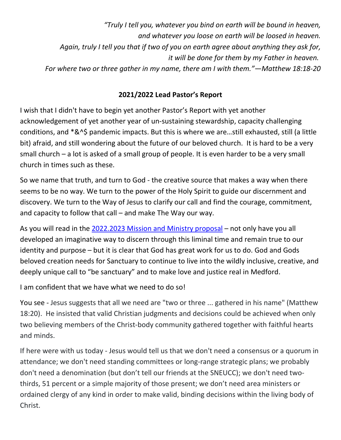*"Truly I tell you, whatever you bind on earth will be bound in heaven, and whatever you loose on earth will be loosed in heaven. Again, truly I tell you that if two of you on earth agree about anything they ask for, it will be done for them by my Father in heaven. For where two or three gather in my name, there am I with them."—Matthew 18:18-20*

## **2021/2022 Lead Pastor's Report**

I wish that I didn't have to begin yet another Pastor's Report with yet another acknowledgement of yet another year of un-sustaining stewardship, capacity challenging conditions, and \*&^\$ pandemic impacts. But this is where we are…still exhausted, still (a little bit) afraid, and still wondering about the future of our beloved church. It is hard to be a very small church – a lot is asked of a small group of people. It is even harder to be a very small church in times such as these.

So we name that truth, and turn to God - the creative source that makes a way when there seems to be no way. We turn to the power of the Holy Spirit to guide our discernment and discovery. We turn to the Way of Jesus to clarify our call and find the courage, commitment, and capacity to follow that call – and make The Way our way.

As you will read in the [2022.2023 Mission and Ministry proposal](https://medfordchurch.org/wp-content/uploads/2022/06/2022.06.23-Annual-Meeting-Mission-and-Ministry-Plan.pdf) – not only have you all developed an imaginative way to discern through this liminal time and remain true to our identity and purpose – but it is clear that God has great work for us to do. God and Gods beloved creation needs for Sanctuary to continue to live into the wildly inclusive, creative, and deeply unique call to "be sanctuary" and to make love and justice real in Medford.

I am confident that we have what we need to do so!

You see - Jesus suggests that all we need are "two or three ... gathered in his name" (Matthew 18:20). He insisted that valid Christian judgments and decisions could be achieved when only two believing members of the Christ-body community gathered together with faithful hearts and minds.

If here were with us today - Jesus would tell us that we don't need a consensus or a quorum in attendance; we don't need standing committees or long-range strategic plans; we probably don't need a denomination (but don't tell our friends at the SNEUCC); we don't need twothirds, 51 percent or a simple majority of those present; we don't need area ministers or ordained clergy of any kind in order to make valid, binding decisions within the living body of Christ.